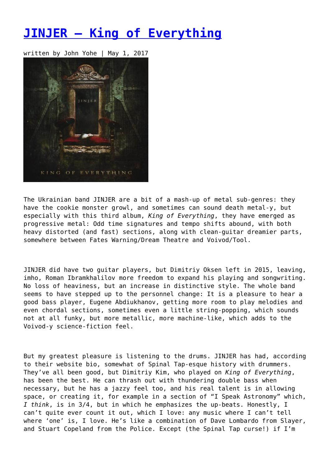## **[JINJER – King of Everything](https://entropymag.org/jinjer-king-of-everything/)**

written by John Yohe | May 1, 2017



The Ukrainian band JINJER are a bit of a mash-up of metal sub-genres: they have the cookie monster growl, and sometimes can sound death metal-y, but especially with this third album, *King of Everything*, they have emerged as progressive metal: Odd time signatures and tempo shifts abound, with both heavy distorted (and fast) sections, along with clean-guitar dreamier parts, somewhere between Fates Warning/Dream Theatre and Voivod/Tool.

JINJER did have two guitar players, but Dimitriy Oksen left in 2015, leaving, imho, Roman Ibramkhalilov more freedom to expand his playing and songwriting. No loss of heaviness, but an increase in distinctive style. The whole band seems to have stepped up to the personnel change: It is a pleasure to hear a good bass player, Eugene Abdiukhanov, getting more room to play melodies and even chordal sections, sometimes even a little string-popping, which sounds not at all funky, but more metallic, more machine-like, which adds to the Voivod-y science-fiction feel.

But my greatest pleasure is listening to the drums. JINJER has had, according to their website bio, somewhat of Spinal Tap-esque history with drummers. They've all been good, but Dimitriy Kim, who played on *King of Everything*, has been the best. He can thrash out with thundering double bass when necessary, but he has a jazzy feel too, and his real talent is in allowing space, or creating it, for example in a section of "I Speak Astronomy" which, *I think*, is in 3/4, but in which he emphasizes the up-beats. Honestly, I can't quite ever count it out, which I love: any music where I can't tell where 'one' is, I love. He's like a combination of Dave Lombardo from Slayer, and Stuart Copeland from the Police. Except (the Spinal Tap curse!) if I'm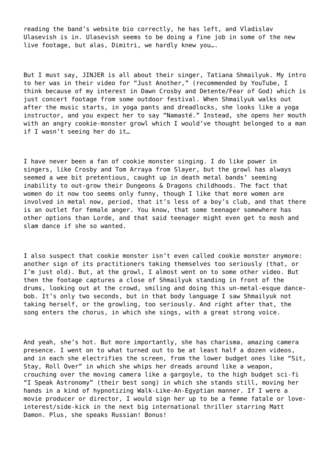reading the band's website bio correctly, he has left, and Vladislav Ulasevish is in. Ulasevish seems to be doing a fine job in some of the new live footage, but alas, Dimitri, we hardly knew you….

But I must say, JINJER is all about their singer, Tatiana Shmailyuk. My intro to her was in their video for "Just Another," (recommended by YouTube, I think because of my interest in Dawn Crosby and Detente/Fear of God) which is just concert footage from some outdoor festival. When Shmailyuk walks out after the music starts, in yoga pants and dreadlocks, she looks like a yoga instructor, and you expect her to say "Namasté." Instead, she opens her mouth with an angry cookie-monster growl which I would've thought belonged to a man if I wasn't seeing her do it…

I have never been a fan of cookie monster singing. I do like power in singers, like Crosby and Tom Arraya from Slayer, but the growl has always seemed a wee bit pretentious, caught up in death metal bands' seeming inability to out-grow their Dungeons & Dragons childhoods. The fact that women do it now too seems only funny, though I like that more women are involved in metal now, period, that it's less of a boy's club, and that there is an outlet for female anger. You know, that some teenager somewhere has other options than Lorde, and that said teenager might even get to mosh and slam dance if she so wanted.

I also suspect that cookie monster isn't even called cookie monster anymore: another sign of its practitioners taking themselves too seriously (that, or I'm just old). But, at the growl, I almost went on to some other video. But then the footage captures a close of Shmailyuk standing in front of the drums, looking out at the crowd, smiling and doing this un-metal-esque dancebob. It's only two seconds, but in that body language I saw Shmailyuk not taking herself, or the growling, too seriously. And right after that, the song enters the chorus, in which she sings, with a great strong voice.

And yeah, she's hot. But more importantly, she has charisma, amazing camera presence. I went on to what turned out to be at least half a dozen videos, and in each she electrifies the screen, from the lower budget ones like "Sit, Stay, Roll Over" in which she whips her dreads around like a weapon, crouching over the moving camera like a gargoyle, to the high budget sci-fi "I Speak Astronomy" (their best song) in which she stands still, moving her hands in a kind of hypnotizing Walk-Like-An-Egyptian manner. If I were a movie producer or director, I would sign her up to be a femme fatale or loveinterest/side-kick in the next big international thriller starring Matt Damon. Plus, she speaks Russian! Bonus!